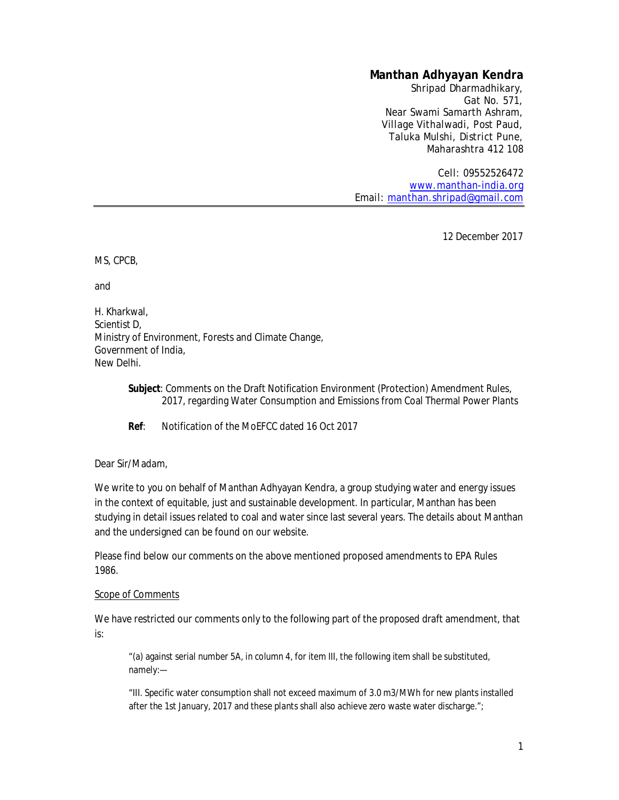# **Manthan Adhyayan Kendra**

Shripad Dharmadhikary, Gat No. 571, Near Swami Samarth Ashram, Village Vithalwadi, Post Paud, Taluka Mulshi, District Pune, Maharashtra 412 108

Cell: 09552526472 [www.manthan-india.org](http://www.manthan-india.org) Email: [manthan.shripad@gmail.com](mailto:manthan.shripad@gmail.com)

12 December 2017

MS, CPCB,

and

H. Kharkwal, Scientist D, Ministry of Environment, Forests and Climate Change, Government of India, New Delhi.

> **Subject**: Comments on the Draft Notification Environment (Protection) Amendment Rules, 2017, regarding Water Consumption and Emissions from Coal Thermal Power Plants

**Ref**: Notification of the MoEFCC dated 16 Oct 2017

#### Dear Sir/Madam,

We write to you on behalf of Manthan Adhyayan Kendra, a group studying water and energy issues in the context of equitable, just and sustainable development. In particular, Manthan has been studying in detail issues related to coal and water since last several years. The details about Manthan and the undersigned can be found on our website.

Please find below our comments on the above mentioned proposed amendments to EPA Rules 1986.

#### Scope of Comments

We have restricted our comments only to the following part of the proposed draft amendment, that is:

"(a) against serial number 5A, in column 4, for item III, the following item shall be substituted, namely:—

"III. Specific water consumption shall not exceed maximum of 3.0 m3/MWh for new plants installed after the 1st January, 2017 and these plants shall also achieve zero waste water discharge.";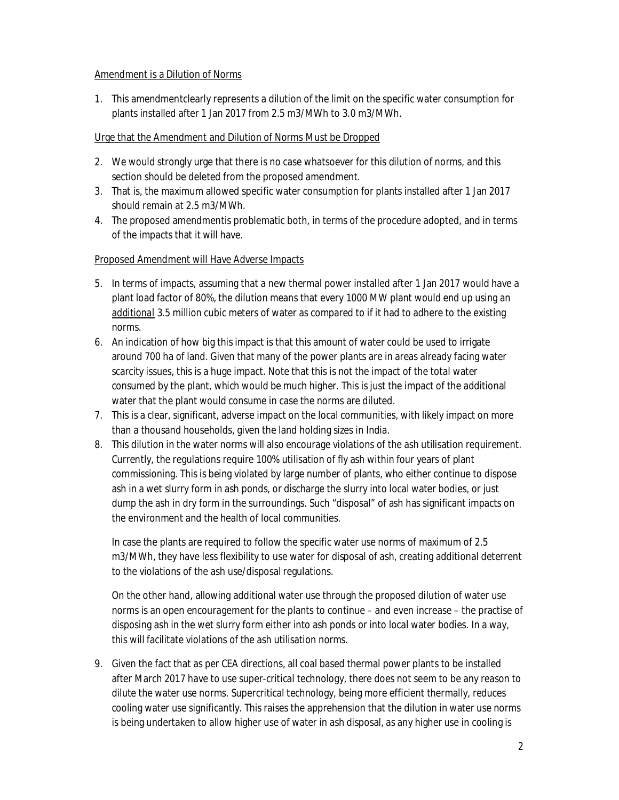#### Amendment is a Dilution of Norms

1. This amendmentclearly represents a dilution of the limit on the specific water consumption for plants installed after 1 Jan 2017 from 2.5 m3/MWh to 3.0 m3/MWh.

#### Urge that the Amendment and Dilution of Norms Must be Dropped

- 2. We would strongly urge that there is no case whatsoever for this dilution of norms, and this section should be deleted from the proposed amendment.
- 3. That is, the maximum allowed specific water consumption for plants installed after 1 Jan 2017 should remain at 2.5 m3/MWh.
- 4. The proposed amendmentis problematic both, in terms of the procedure adopted, and in terms of the impacts that it will have.

## Proposed Amendment will Have Adverse Impacts

- 5. In terms of impacts, assuming that a new thermal power installed after 1 Jan 2017 would have a plant load factor of 80%, the dilution means that every 1000 MW plant would end up using an *additional* 3.5 million cubic meters of water as compared to if it had to adhere to the existing norms.
- 6. An indication of how big this impact is that this amount of water could be used to irrigate around 700 ha of land. Given that many of the power plants are in areas already facing water scarcity issues, this is a huge impact. Note that this is not the impact of the total water consumed by the plant, which would be much higher. This is just the impact of the additional water that the plant would consume in case the norms are diluted.
- 7. This is a clear, significant, adverse impact on the local communities, with likely impact on more than a thousand households, given the land holding sizes in India.
- 8. This dilution in the water norms will also encourage violations of the ash utilisation requirement. Currently, the regulations require 100% utilisation of fly ash within four years of plant commissioning. This is being violated by large number of plants, who either continue to dispose ash in a wet slurry form in ash ponds, or discharge the slurry into local water bodies, or just dump the ash in dry form in the surroundings. Such "disposal" of ash has significant impacts on the environment and the health of local communities.

In case the plants are required to follow the specific water use norms of maximum of 2.5 m3/MWh, they have less flexibility to use water for disposal of ash, creating additional deterrent to the violations of the ash use/disposal regulations.

On the other hand, allowing additional water use through the proposed dilution of water use norms is an open encouragement for the plants to continue – and even increase – the practise of disposing ash in the wet slurry form either into ash ponds or into local water bodies. In a way, this will facilitate violations of the ash utilisation norms.

9. Given the fact that as per CEA directions, all coal based thermal power plants to be installed after March 2017 have to use super-critical technology, there does not seem to be any reason to dilute the water use norms. Supercritical technology, being more efficient thermally, reduces cooling water use significantly. This raises the apprehension that the dilution in water use norms is being undertaken to allow higher use of water in ash disposal, as any higher use in cooling is